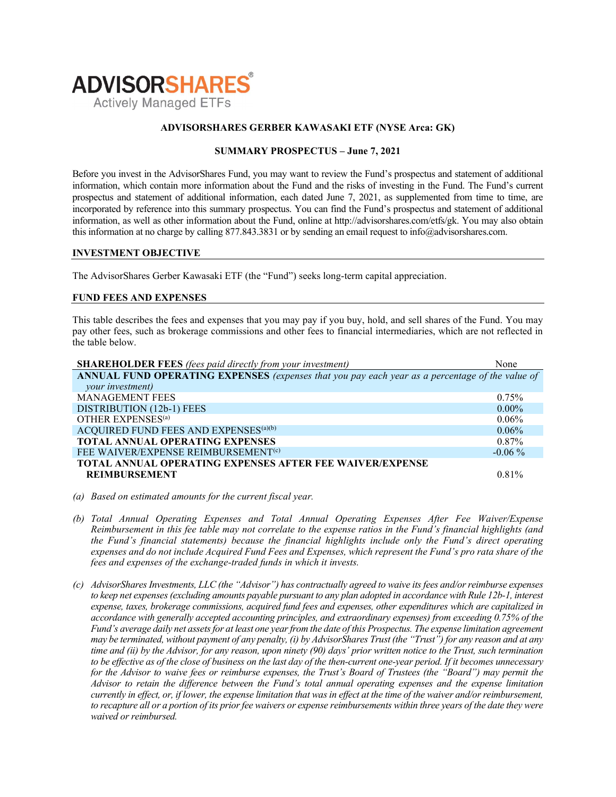

## ADVISORSHARES GERBER KAWASAKI ETF (NYSE Arca: GK)

# SUMMARY PROSPECTUS – June 7, 2021

Before you invest in the AdvisorShares Fund, you may want to review the Fund's prospectus and statement of additional information, which contain more information about the Fund and the risks of investing in the Fund. The Fund's current prospectus and statement of additional information, each dated June 7, 2021, as supplemented from time to time, are incorporated by reference into this summary prospectus. You can find the Fund's prospectus and statement of additional information, as well as other information about the Fund, online at http://advisorshares.com/etfs/gk. You may also obtain this information at no charge by calling 877.843.3831 or by sending an email request to info@advisorshares.com.

#### INVESTMENT OBJECTIVE

The AdvisorShares Gerber Kawasaki ETF (the "Fund") seeks long-term capital appreciation.

## FUND FEES AND EXPENSES

This table describes the fees and expenses that you may pay if you buy, hold, and sell shares of the Fund. You may pay other fees, such as brokerage commissions and other fees to financial intermediaries, which are not reflected in the table below.

| <b>SHAREHOLDER FEES</b> (fees paid directly from your investment)                               | None      |
|-------------------------------------------------------------------------------------------------|-----------|
| ANNUAL FUND OPERATING EXPENSES (expenses that you pay each year as a percentage of the value of |           |
| your investment)                                                                                |           |
| <b>MANAGEMENT FEES</b>                                                                          | $0.75\%$  |
| DISTRIBUTION (12b-1) FEES                                                                       | $0.00\%$  |
| OTHER EXPENSES <sup>(a)</sup>                                                                   | $0.06\%$  |
| ACQUIRED FUND FEES AND EXPENSES <sup>(a)(b)</sup>                                               | 0.06%     |
| <b>TOTAL ANNUAL OPERATING EXPENSES</b>                                                          | $0.87\%$  |
| FEE WAIVER/EXPENSE REIMBURSEMENT <sup>(c)</sup>                                                 | $-0.06\%$ |
| <b>TOTAL ANNUAL OPERATING EXPENSES AFTER FEE WAIVER/EXPENSE</b>                                 |           |
| <b>REIMBURSEMENT</b>                                                                            | 0.81%     |

- (a) Based on estimated amounts for the current fiscal year.
- (b) Total Annual Operating Expenses and Total Annual Operating Expenses After Fee Waiver/Expense Reimbursement in this fee table may not correlate to the expense ratios in the Fund's financial highlights (and the Fund's financial statements) because the financial highlights include only the Fund's direct operating expenses and do not include Acquired Fund Fees and Expenses, which represent the Fund's pro rata share of the fees and expenses of the exchange-traded funds in which it invests.
- (c) AdvisorShares Investments, LLC (the "Advisor") has contractually agreed to waive its fees and/or reimburse expenses to keep net expenses (excluding amounts payable pursuant to any plan adopted in accordance with Rule 12b-1, interest expense, taxes, brokerage commissions, acquired fund fees and expenses, other expenditures which are capitalized in accordance with generally accepted accounting principles, and extraordinary expenses) from exceeding 0.75% of the Fund's average daily net assets for at least one year from the date of this Prospectus. The expense limitation agreement may be terminated, without payment of any penalty, (i) by AdvisorShares Trust (the "Trust") for any reason and at any time and (ii) by the Advisor, for any reason, upon ninety (90) days' prior written notice to the Trust, such termination to be effective as of the close of business on the last day of the then-current one-year period. If it becomes unnecessary for the Advisor to waive fees or reimburse expenses, the Trust's Board of Trustees (the "Board") may permit the Advisor to retain the difference between the Fund's total annual operating expenses and the expense limitation currently in effect, or, if lower, the expense limitation that was in effect at the time of the waiver and/or reimbursement, to recapture all or a portion of its prior fee waivers or expense reimbursements within three years of the date they were waived or reimbursed.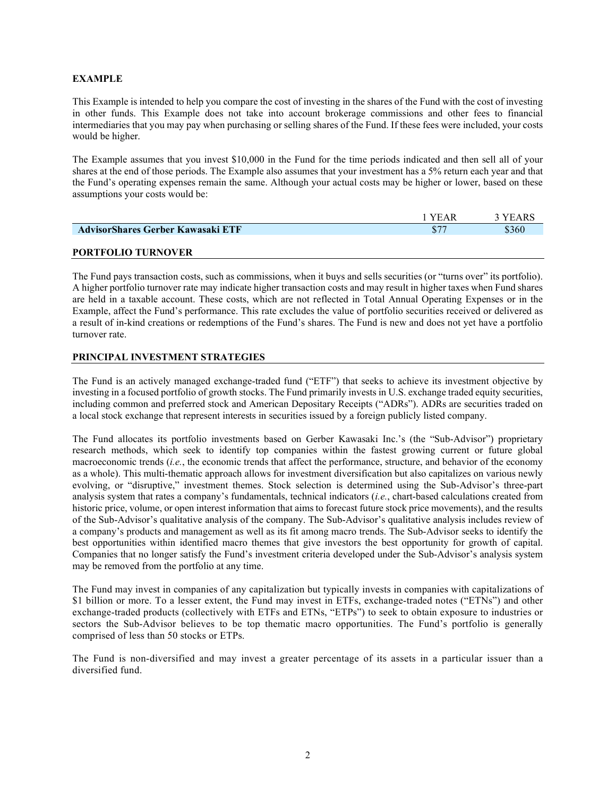# EXAMPLE

This Example is intended to help you compare the cost of investing in the shares of the Fund with the cost of investing in other funds. This Example does not take into account brokerage commissions and other fees to financial intermediaries that you may pay when purchasing or selling shares of the Fund. If these fees were included, your costs would be higher.

The Example assumes that you invest \$10,000 in the Fund for the time periods indicated and then sell all of your shares at the end of those periods. The Example also assumes that your investment has a 5% return each year and that the Fund's operating expenses remain the same. Although your actual costs may be higher or lower, based on these assumptions your costs would be:

|                                   | ' YEAR       | <b>YEARS</b> |
|-----------------------------------|--------------|--------------|
| AdvisorShares Gerber Kawasaki ETF | $$7^{\circ}$ | \$360        |
|                                   |              |              |

# PORTFOLIO TURNOVER

The Fund pays transaction costs, such as commissions, when it buys and sells securities (or "turns over" its portfolio). A higher portfolio turnover rate may indicate higher transaction costs and may result in higher taxes when Fund shares are held in a taxable account. These costs, which are not reflected in Total Annual Operating Expenses or in the Example, affect the Fund's performance. This rate excludes the value of portfolio securities received or delivered as a result of in-kind creations or redemptions of the Fund's shares. The Fund is new and does not yet have a portfolio turnover rate.

# PRINCIPAL INVESTMENT STRATEGIES

The Fund is an actively managed exchange-traded fund ("ETF") that seeks to achieve its investment objective by investing in a focused portfolio of growth stocks. The Fund primarily invests in U.S. exchange traded equity securities, including common and preferred stock and American Depositary Receipts ("ADRs"). ADRs are securities traded on a local stock exchange that represent interests in securities issued by a foreign publicly listed company.

The Fund allocates its portfolio investments based on Gerber Kawasaki Inc.'s (the "Sub-Advisor") proprietary research methods, which seek to identify top companies within the fastest growing current or future global macroeconomic trends (*i.e.*, the economic trends that affect the performance, structure, and behavior of the economy as a whole). This multi-thematic approach allows for investment diversification but also capitalizes on various newly evolving, or "disruptive," investment themes. Stock selection is determined using the Sub-Advisor's three-part analysis system that rates a company's fundamentals, technical indicators (*i.e.*, chart-based calculations created from historic price, volume, or open interest information that aims to forecast future stock price movements), and the results of the Sub-Advisor's qualitative analysis of the company. The Sub-Advisor's qualitative analysis includes review of a company's products and management as well as its fit among macro trends. The Sub-Advisor seeks to identify the best opportunities within identified macro themes that give investors the best opportunity for growth of capital. Companies that no longer satisfy the Fund's investment criteria developed under the Sub-Advisor's analysis system may be removed from the portfolio at any time.

The Fund may invest in companies of any capitalization but typically invests in companies with capitalizations of \$1 billion or more. To a lesser extent, the Fund may invest in ETFs, exchange-traded notes ("ETNs") and other exchange-traded products (collectively with ETFs and ETNs, "ETPs") to seek to obtain exposure to industries or sectors the Sub-Advisor believes to be top thematic macro opportunities. The Fund's portfolio is generally comprised of less than 50 stocks or ETPs.

The Fund is non-diversified and may invest a greater percentage of its assets in a particular issuer than a diversified fund.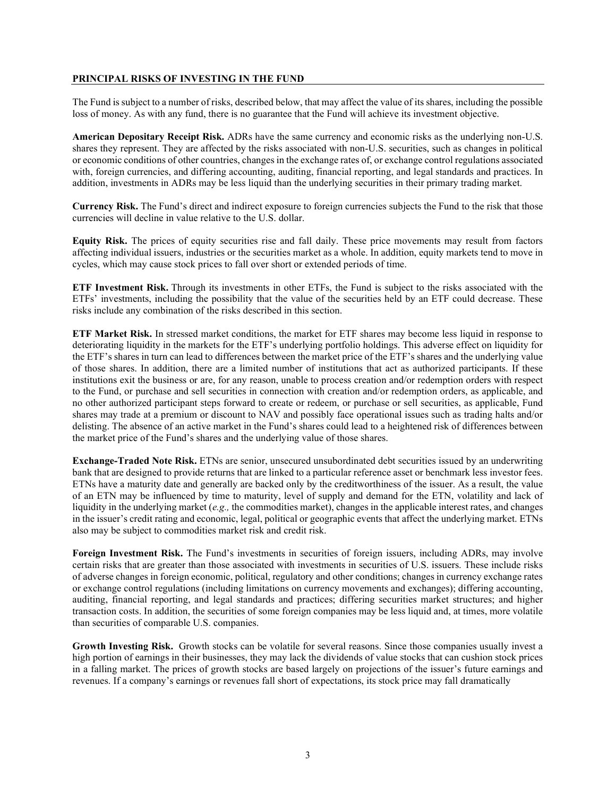## PRINCIPAL RISKS OF INVESTING IN THE FUND

The Fund is subject to a number of risks, described below, that may affect the value of its shares, including the possible loss of money. As with any fund, there is no guarantee that the Fund will achieve its investment objective.

American Depositary Receipt Risk. ADRs have the same currency and economic risks as the underlying non-U.S. shares they represent. They are affected by the risks associated with non-U.S. securities, such as changes in political or economic conditions of other countries, changes in the exchange rates of, or exchange control regulations associated with, foreign currencies, and differing accounting, auditing, financial reporting, and legal standards and practices. In addition, investments in ADRs may be less liquid than the underlying securities in their primary trading market.

Currency Risk. The Fund's direct and indirect exposure to foreign currencies subjects the Fund to the risk that those currencies will decline in value relative to the U.S. dollar.

Equity Risk. The prices of equity securities rise and fall daily. These price movements may result from factors affecting individual issuers, industries or the securities market as a whole. In addition, equity markets tend to move in cycles, which may cause stock prices to fall over short or extended periods of time.

ETF Investment Risk. Through its investments in other ETFs, the Fund is subject to the risks associated with the ETFs' investments, including the possibility that the value of the securities held by an ETF could decrease. These risks include any combination of the risks described in this section.

ETF Market Risk. In stressed market conditions, the market for ETF shares may become less liquid in response to deteriorating liquidity in the markets for the ETF's underlying portfolio holdings. This adverse effect on liquidity for the ETF's shares in turn can lead to differences between the market price of the ETF's shares and the underlying value of those shares. In addition, there are a limited number of institutions that act as authorized participants. If these institutions exit the business or are, for any reason, unable to process creation and/or redemption orders with respect to the Fund, or purchase and sell securities in connection with creation and/or redemption orders, as applicable, and no other authorized participant steps forward to create or redeem, or purchase or sell securities, as applicable, Fund shares may trade at a premium or discount to NAV and possibly face operational issues such as trading halts and/or delisting. The absence of an active market in the Fund's shares could lead to a heightened risk of differences between the market price of the Fund's shares and the underlying value of those shares.

Exchange-Traded Note Risk. ETNs are senior, unsecured unsubordinated debt securities issued by an underwriting bank that are designed to provide returns that are linked to a particular reference asset or benchmark less investor fees. ETNs have a maturity date and generally are backed only by the creditworthiness of the issuer. As a result, the value of an ETN may be influenced by time to maturity, level of supply and demand for the ETN, volatility and lack of liquidity in the underlying market (e.g., the commodities market), changes in the applicable interest rates, and changes in the issuer's credit rating and economic, legal, political or geographic events that affect the underlying market. ETNs also may be subject to commodities market risk and credit risk.

Foreign Investment Risk. The Fund's investments in securities of foreign issuers, including ADRs, may involve certain risks that are greater than those associated with investments in securities of U.S. issuers. These include risks of adverse changes in foreign economic, political, regulatory and other conditions; changes in currency exchange rates or exchange control regulations (including limitations on currency movements and exchanges); differing accounting, auditing, financial reporting, and legal standards and practices; differing securities market structures; and higher transaction costs. In addition, the securities of some foreign companies may be less liquid and, at times, more volatile than securities of comparable U.S. companies.

Growth Investing Risk. Growth stocks can be volatile for several reasons. Since those companies usually invest a high portion of earnings in their businesses, they may lack the dividends of value stocks that can cushion stock prices in a falling market. The prices of growth stocks are based largely on projections of the issuer's future earnings and revenues. If a company's earnings or revenues fall short of expectations, its stock price may fall dramatically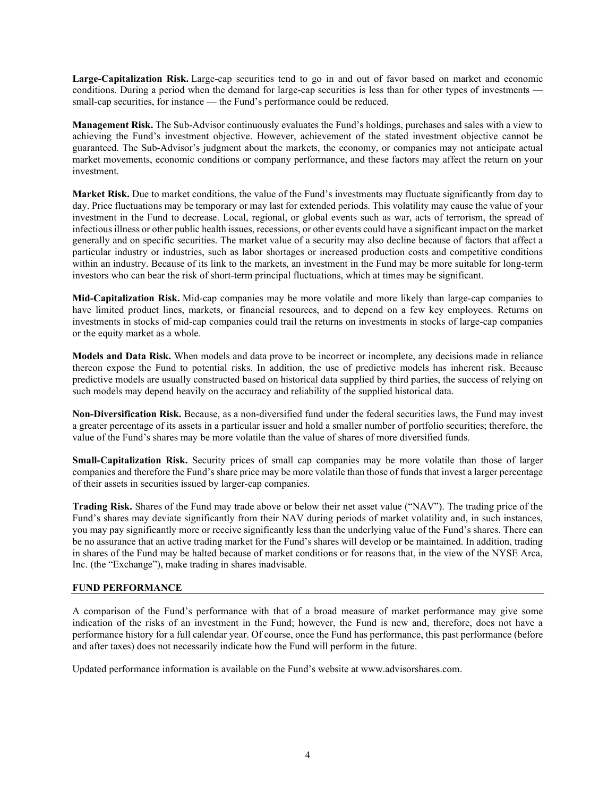Large-Capitalization Risk. Large-cap securities tend to go in and out of favor based on market and economic conditions. During a period when the demand for large-cap securities is less than for other types of investments small-cap securities, for instance — the Fund's performance could be reduced.

Management Risk. The Sub-Advisor continuously evaluates the Fund's holdings, purchases and sales with a view to achieving the Fund's investment objective. However, achievement of the stated investment objective cannot be guaranteed. The Sub-Advisor's judgment about the markets, the economy, or companies may not anticipate actual market movements, economic conditions or company performance, and these factors may affect the return on your investment.

Market Risk. Due to market conditions, the value of the Fund's investments may fluctuate significantly from day to day. Price fluctuations may be temporary or may last for extended periods. This volatility may cause the value of your investment in the Fund to decrease. Local, regional, or global events such as war, acts of terrorism, the spread of infectious illness or other public health issues, recessions, or other events could have a significant impact on the market generally and on specific securities. The market value of a security may also decline because of factors that affect a particular industry or industries, such as labor shortages or increased production costs and competitive conditions within an industry. Because of its link to the markets, an investment in the Fund may be more suitable for long-term investors who can bear the risk of short-term principal fluctuations, which at times may be significant.

Mid-Capitalization Risk. Mid-cap companies may be more volatile and more likely than large-cap companies to have limited product lines, markets, or financial resources, and to depend on a few key employees. Returns on investments in stocks of mid-cap companies could trail the returns on investments in stocks of large-cap companies or the equity market as a whole.

Models and Data Risk. When models and data prove to be incorrect or incomplete, any decisions made in reliance thereon expose the Fund to potential risks. In addition, the use of predictive models has inherent risk. Because predictive models are usually constructed based on historical data supplied by third parties, the success of relying on such models may depend heavily on the accuracy and reliability of the supplied historical data.

Non-Diversification Risk. Because, as a non-diversified fund under the federal securities laws, the Fund may invest a greater percentage of its assets in a particular issuer and hold a smaller number of portfolio securities; therefore, the value of the Fund's shares may be more volatile than the value of shares of more diversified funds.

Small-Capitalization Risk. Security prices of small cap companies may be more volatile than those of larger companies and therefore the Fund's share price may be more volatile than those of funds that invest a larger percentage of their assets in securities issued by larger-cap companies.

Trading Risk. Shares of the Fund may trade above or below their net asset value ("NAV"). The trading price of the Fund's shares may deviate significantly from their NAV during periods of market volatility and, in such instances, you may pay significantly more or receive significantly less than the underlying value of the Fund's shares. There can be no assurance that an active trading market for the Fund's shares will develop or be maintained. In addition, trading in shares of the Fund may be halted because of market conditions or for reasons that, in the view of the NYSE Arca, Inc. (the "Exchange"), make trading in shares inadvisable.

# FUND PERFORMANCE

A comparison of the Fund's performance with that of a broad measure of market performance may give some indication of the risks of an investment in the Fund; however, the Fund is new and, therefore, does not have a performance history for a full calendar year. Of course, once the Fund has performance, this past performance (before and after taxes) does not necessarily indicate how the Fund will perform in the future.

Updated performance information is available on the Fund's website at www.advisorshares.com.